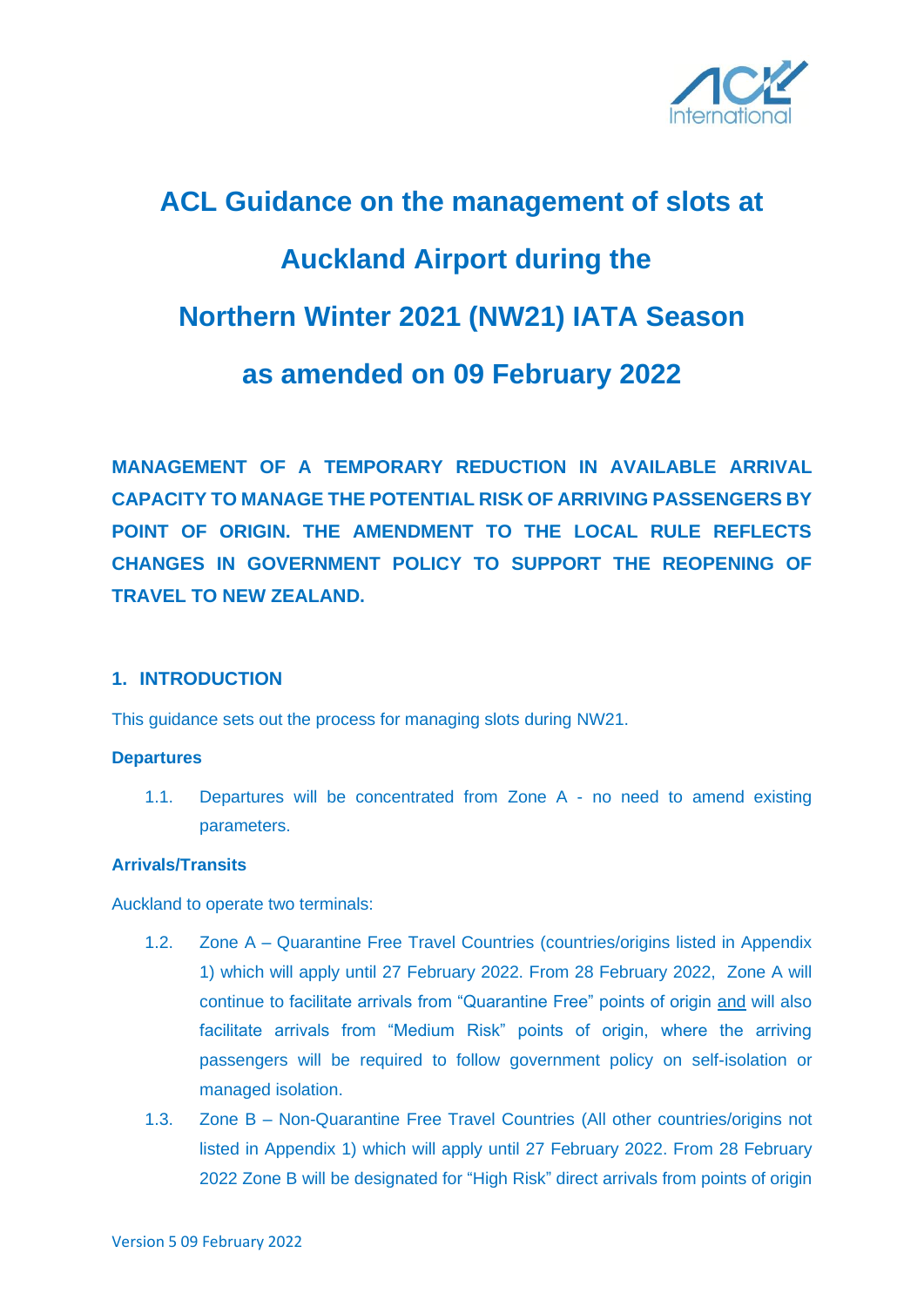

# **ACL Guidance on the management of slots at Auckland Airport during the Northern Winter 2021 (NW21) IATA Season as amended on 09 February 2022**

**MANAGEMENT OF A TEMPORARY REDUCTION IN AVAILABLE ARRIVAL CAPACITY TO MANAGE THE POTENTIAL RISK OF ARRIVING PASSENGERS BY POINT OF ORIGIN. THE AMENDMENT TO THE LOCAL RULE REFLECTS CHANGES IN GOVERNMENT POLICY TO SUPPORT THE REOPENING OF TRAVEL TO NEW ZEALAND.** 

## **1. INTRODUCTION**

This guidance sets out the process for managing slots during NW21.

#### **Departures**

1.1. Departures will be concentrated from Zone A - no need to amend existing parameters.

#### **Arrivals/Transits**

Auckland to operate two terminals:

- 1.2. Zone A Quarantine Free Travel Countries (countries/origins listed in Appendix 1) which will apply until 27 February 2022. From 28 February 2022, Zone A will continue to facilitate arrivals from "Quarantine Free" points of origin and will also facilitate arrivals from "Medium Risk" points of origin, where the arriving passengers will be required to follow government policy on self-isolation or managed isolation.
- 1.3. Zone B Non-Quarantine Free Travel Countries (All other countries/origins not listed in Appendix 1) which will apply until 27 February 2022. From 28 February 2022 Zone B will be designated for "High Risk" direct arrivals from points of origin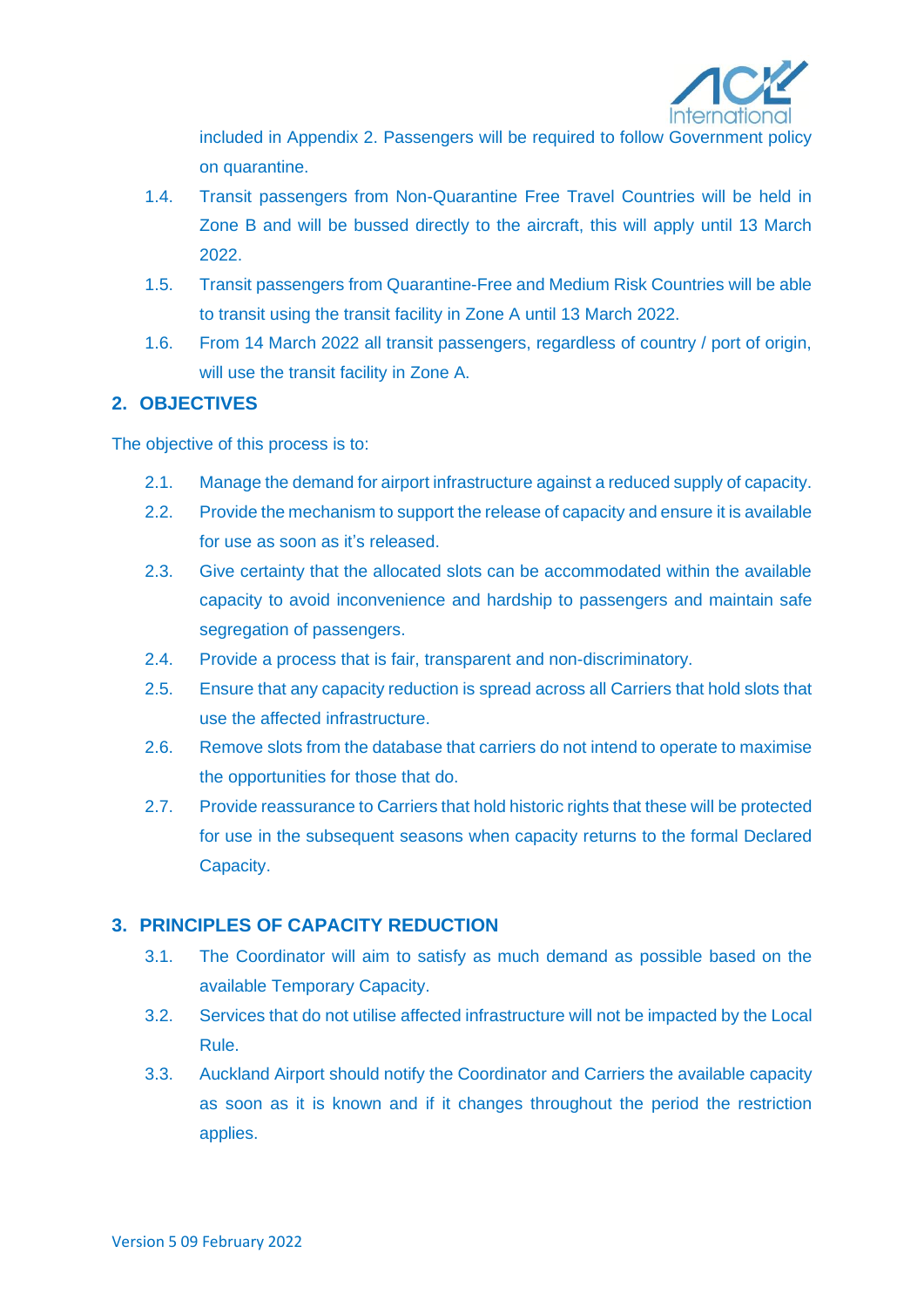

included in Appendix 2. Passengers will be required to follow Government policy on quarantine.

- 1.4. Transit passengers from Non-Quarantine Free Travel Countries will be held in Zone B and will be bussed directly to the aircraft, this will apply until 13 March 2022.
- 1.5. Transit passengers from Quarantine-Free and Medium Risk Countries will be able to transit using the transit facility in Zone A until 13 March 2022.
- 1.6. From 14 March 2022 all transit passengers, regardless of country / port of origin, will use the transit facility in Zone A.

## **2. OBJECTIVES**

The objective of this process is to:

- 2.1. Manage the demand for airport infrastructure against a reduced supply of capacity.
- 2.2. Provide the mechanism to support the release of capacity and ensure it is available for use as soon as it's released.
- 2.3. Give certainty that the allocated slots can be accommodated within the available capacity to avoid inconvenience and hardship to passengers and maintain safe segregation of passengers.
- 2.4. Provide a process that is fair, transparent and non-discriminatory.
- 2.5. Ensure that any capacity reduction is spread across all Carriers that hold slots that use the affected infrastructure.
- 2.6. Remove slots from the database that carriers do not intend to operate to maximise the opportunities for those that do.
- 2.7. Provide reassurance to Carriers that hold historic rights that these will be protected for use in the subsequent seasons when capacity returns to the formal Declared Capacity.

# **3. PRINCIPLES OF CAPACITY REDUCTION**

- 3.1. The Coordinator will aim to satisfy as much demand as possible based on the available Temporary Capacity.
- 3.2. Services that do not utilise affected infrastructure will not be impacted by the Local Rule.
- 3.3. Auckland Airport should notify the Coordinator and Carriers the available capacity as soon as it is known and if it changes throughout the period the restriction applies.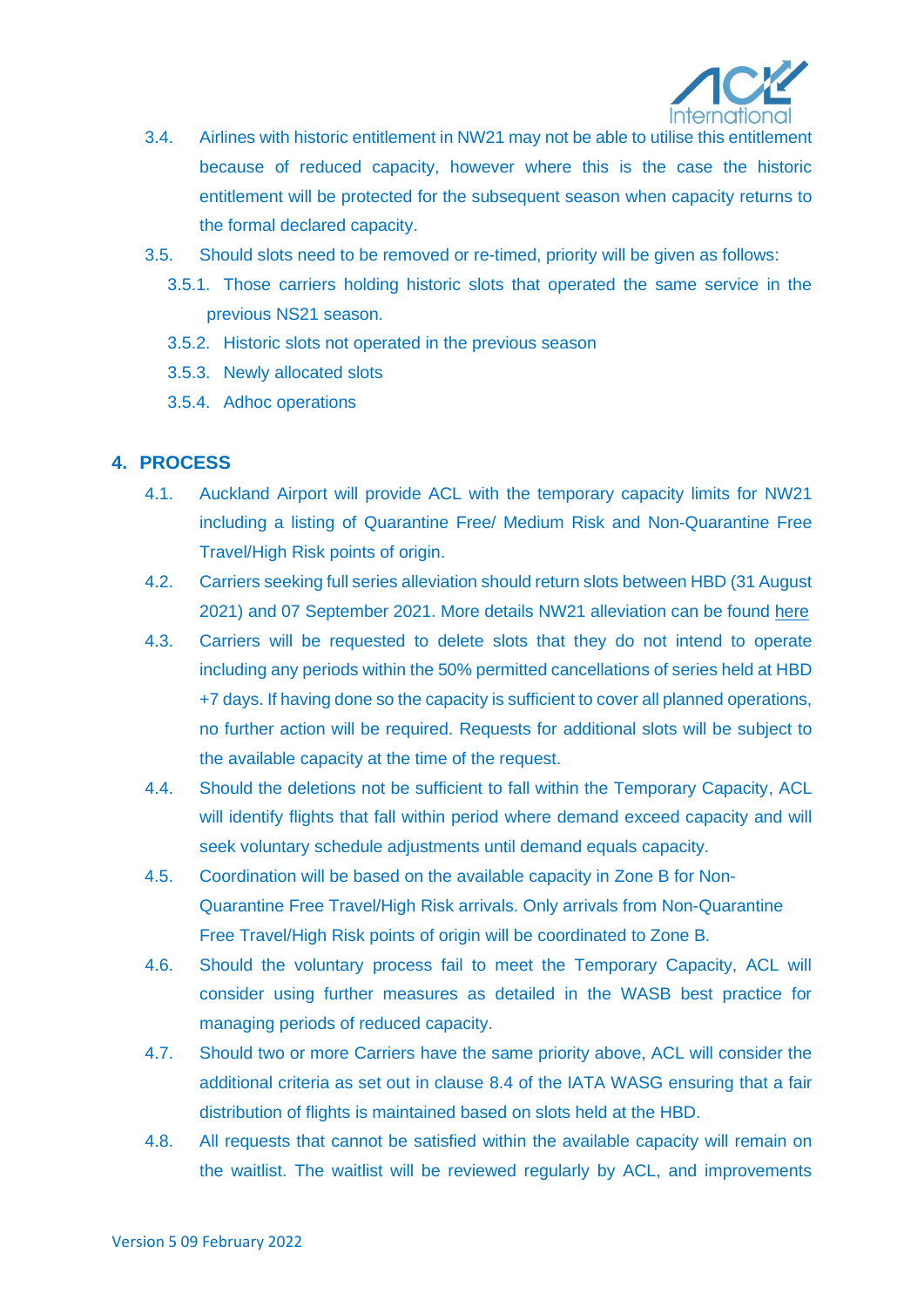

- 3.4. Airlines with historic entitlement in NW21 may not be able to utilise this entitlement because of reduced capacity, however where this is the case the historic entitlement will be protected for the subsequent season when capacity returns to the formal declared capacity.
- 3.5. Should slots need to be removed or re-timed, priority will be given as follows:
	- 3.5.1. Those carriers holding historic slots that operated the same service in the previous NS21 season.
	- 3.5.2. Historic slots not operated in the previous season
	- 3.5.3. Newly allocated slots
	- 3.5.4. Adhoc operations

## **4. PROCESS**

- 4.1. Auckland Airport will provide ACL with the temporary capacity limits for NW21 including a listing of Quarantine Free/ Medium Risk and Non-Quarantine Free Travel/High Risk points of origin.
- 4.2. Carriers seeking full series alleviation should return slots between HBD (31 August 2021) and 07 September 2021. More details NW21 alleviation can be found [here](https://www.acl-uk.org/wp-content/uploads/2021/06/SCNZL-NW21-Slot-Alleviation-Decision.pdf)
- 4.3. Carriers will be requested to delete slots that they do not intend to operate including any periods within the 50% permitted cancellations of series held at HBD +7 days. If having done so the capacity is sufficient to cover all planned operations, no further action will be required. Requests for additional slots will be subject to the available capacity at the time of the request.
- 4.4. Should the deletions not be sufficient to fall within the Temporary Capacity, ACL will identify flights that fall within period where demand exceed capacity and will seek voluntary schedule adjustments until demand equals capacity.
- 4.5. Coordination will be based on the available capacity in Zone B for Non-Quarantine Free Travel/High Risk arrivals. Only arrivals from Non-Quarantine Free Travel/High Risk points of origin will be coordinated to Zone B.
- 4.6. Should the voluntary process fail to meet the Temporary Capacity, ACL will consider using further measures as detailed in the WASB best practice for managing periods of reduced capacity.
- 4.7. Should two or more Carriers have the same priority above, ACL will consider the additional criteria as set out in clause 8.4 of the IATA WASG ensuring that a fair distribution of flights is maintained based on slots held at the HBD.
- 4.8. All requests that cannot be satisfied within the available capacity will remain on the waitlist. The waitlist will be reviewed regularly by ACL, and improvements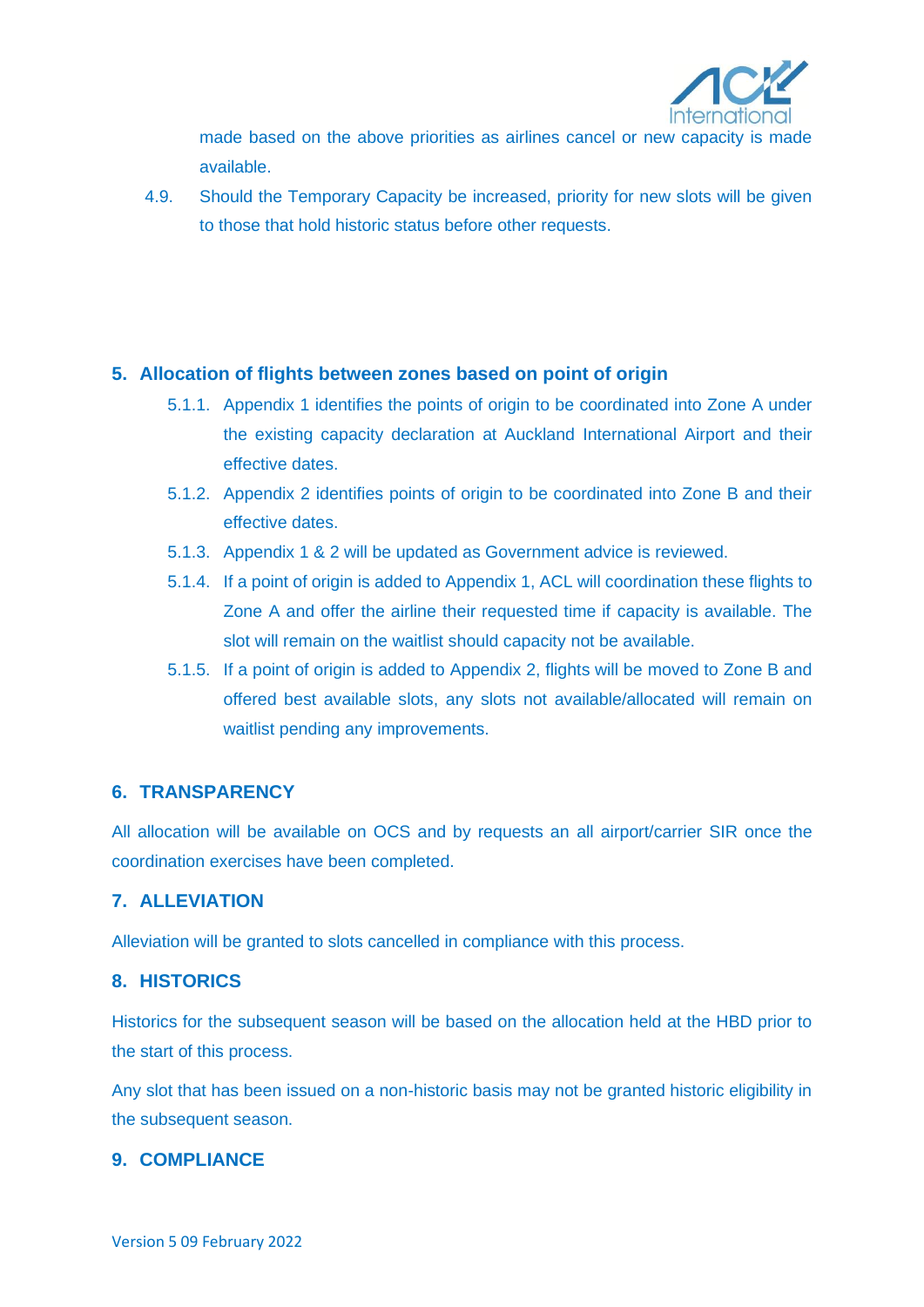

made based on the above priorities as airlines cancel or new capacity is made available.

4.9. Should the Temporary Capacity be increased, priority for new slots will be given to those that hold historic status before other requests.

## **5. Allocation of flights between zones based on point of origin**

- 5.1.1. Appendix 1 identifies the points of origin to be coordinated into Zone A under the existing capacity declaration at Auckland International Airport and their effective dates.
- 5.1.2. Appendix 2 identifies points of origin to be coordinated into Zone B and their effective dates.
- 5.1.3. Appendix 1 & 2 will be updated as Government advice is reviewed.
- 5.1.4. If a point of origin is added to Appendix 1, ACL will coordination these flights to Zone A and offer the airline their requested time if capacity is available. The slot will remain on the waitlist should capacity not be available.
- 5.1.5. If a point of origin is added to Appendix 2, flights will be moved to Zone B and offered best available slots, any slots not available/allocated will remain on waitlist pending any improvements.

## **6. TRANSPARENCY**

All allocation will be available on OCS and by requests an all airport/carrier SIR once the coordination exercises have been completed.

## **7. ALLEVIATION**

Alleviation will be granted to slots cancelled in compliance with this process.

## **8. HISTORICS**

Historics for the subsequent season will be based on the allocation held at the HBD prior to the start of this process.

Any slot that has been issued on a non-historic basis may not be granted historic eligibility in the subsequent season.

## **9. COMPLIANCE**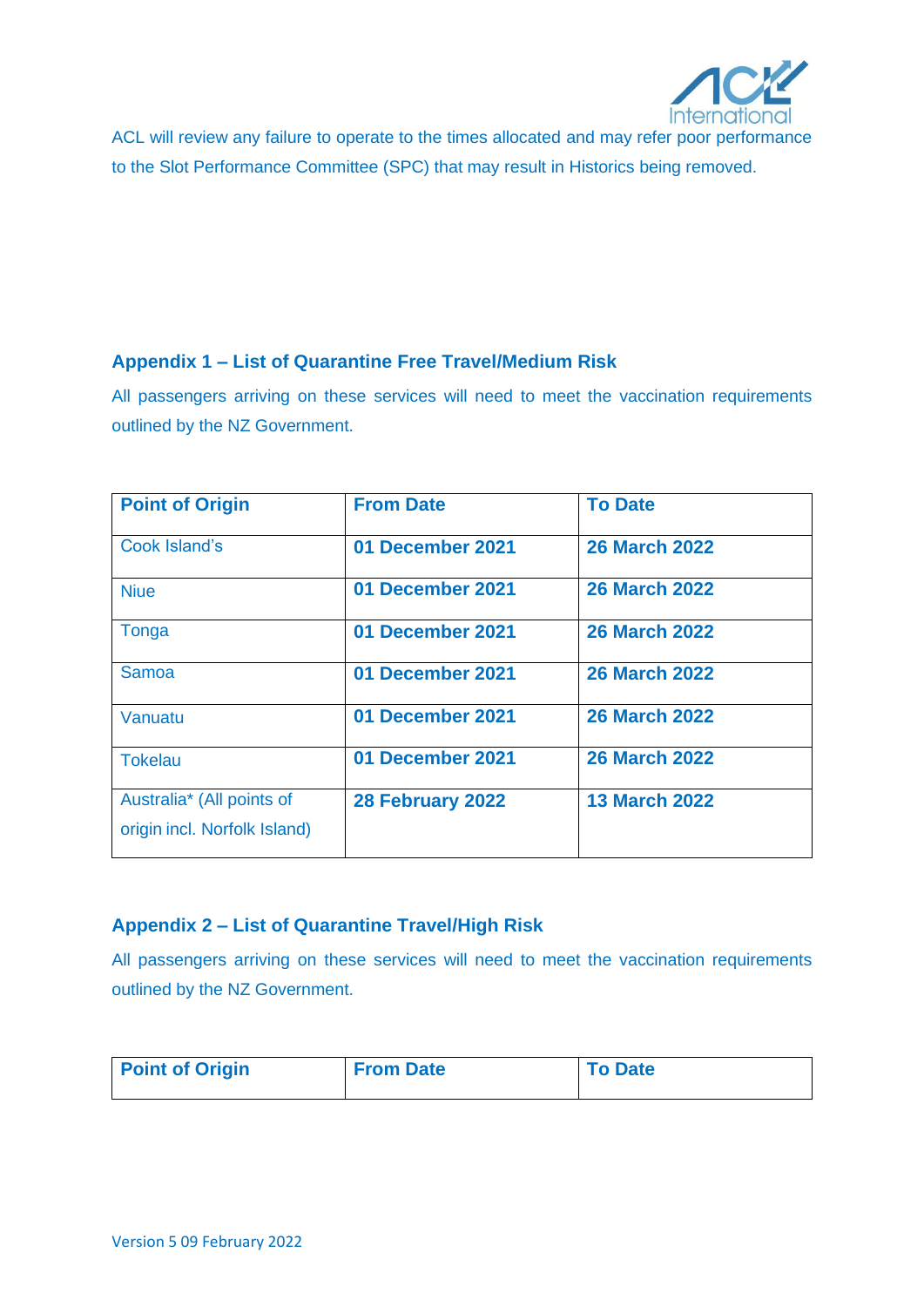

ACL will review any failure to operate to the times allocated and may refer poor performance to the Slot Performance Committee (SPC) that may result in Historics being removed.

## **Appendix 1 – List of Quarantine Free Travel/Medium Risk**

All passengers arriving on these services will need to meet the vaccination requirements outlined by the NZ Government.

| <b>Point of Origin</b>                                    | <b>From Date</b> | <b>To Date</b>       |
|-----------------------------------------------------------|------------------|----------------------|
| <b>Cook Island's</b>                                      | 01 December 2021 | <b>26 March 2022</b> |
| <b>Niue</b>                                               | 01 December 2021 | <b>26 March 2022</b> |
| Tonga                                                     | 01 December 2021 | <b>26 March 2022</b> |
| Samoa                                                     | 01 December 2021 | <b>26 March 2022</b> |
| Vanuatu                                                   | 01 December 2021 | <b>26 March 2022</b> |
| <b>Tokelau</b>                                            | 01 December 2021 | <b>26 March 2022</b> |
| Australia* (All points of<br>origin incl. Norfolk Island) | 28 February 2022 | <b>13 March 2022</b> |

# **Appendix 2 – List of Quarantine Travel/High Risk**

All passengers arriving on these services will need to meet the vaccination requirements outlined by the NZ Government.

| <b>Point of Origin</b> | <b>From Date</b> | <b>To Date</b> |
|------------------------|------------------|----------------|
|                        |                  |                |